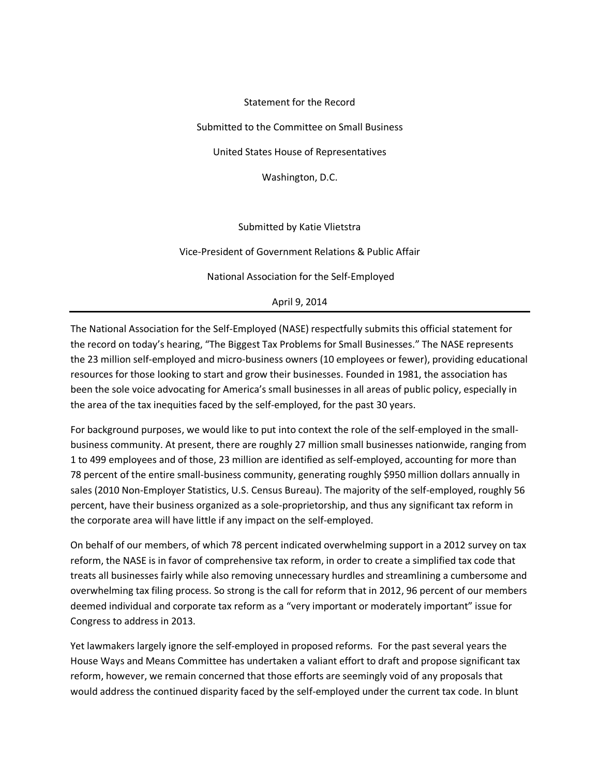Statement for the Record Submitted to the Committee on Small Business United States House of Representatives Washington, D.C. Submitted by Katie Vlietstra

Vice-President of Government Relations & Public Affair

National Association for the Self-Employed

April 9, 2014

The National Association for the Self-Employed (NASE) respectfully submits this official statement for the record on today's hearing, "The Biggest Tax Problems for Small Businesses." The NASE represents the 23 million self-employed and micro-business owners (10 employees or fewer), providing educational resources for those looking to start and grow their businesses. Founded in 1981, the association has been the sole voice advocating for America's small businesses in all areas of public policy, especially in the area of the tax inequities faced by the self-employed, for the past 30 years.

For background purposes, we would like to put into context the role of the self-employed in the smallbusiness community. At present, there are roughly 27 million small businesses nationwide, ranging from 1 to 499 employees and of those, 23 million are identified as self-employed, accounting for more than 78 percent of the entire small-business community, generating roughly \$950 million dollars annually in sales (2010 Non-Employer Statistics, U.S. Census Bureau). The majority of the self-employed, roughly 56 percent, have their business organized as a sole-proprietorship, and thus any significant tax reform in the corporate area will have little if any impact on the self-employed.

On behalf of our members, of which 78 percent indicated overwhelming support in a 2012 survey on tax reform, the NASE is in favor of comprehensive tax reform, in order to create a simplified tax code that treats all businesses fairly while also removing unnecessary hurdles and streamlining a cumbersome and overwhelming tax filing process. So strong is the call for reform that in 2012, 96 percent of our members deemed individual and corporate tax reform as a "very important or moderately important" issue for Congress to address in 2013.

Yet lawmakers largely ignore the self-employed in proposed reforms. For the past several years the House Ways and Means Committee has undertaken a valiant effort to draft and propose significant tax reform, however, we remain concerned that those efforts are seemingly void of any proposals that would address the continued disparity faced by the self-employed under the current tax code. In blunt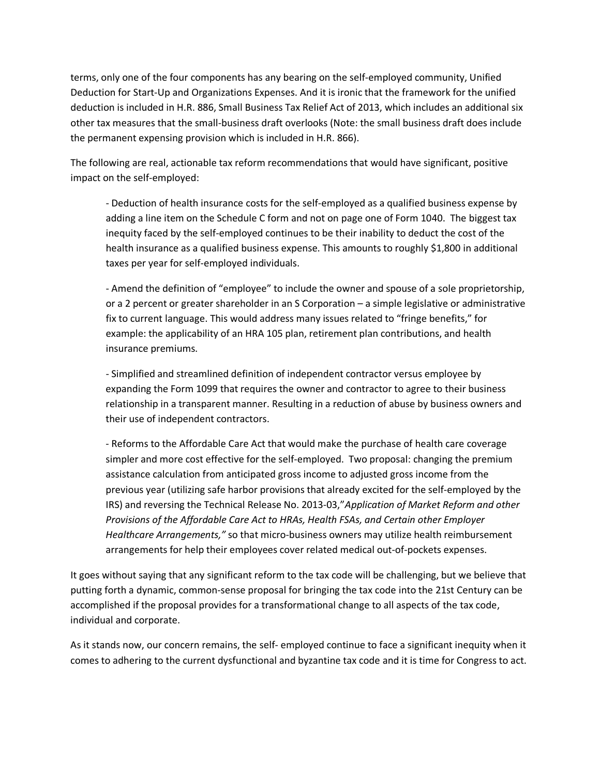terms, only one of the four components has any bearing on the self-employed community, Unified Deduction for Start-Up and Organizations Expenses. And it is ironic that the framework for the unified deduction is included in H.R. 886, Small Business Tax Relief Act of 2013, which includes an additional six other tax measures that the small-business draft overlooks (Note: the small business draft does include the permanent expensing provision which is included in H.R. 866).

The following are real, actionable tax reform recommendations that would have significant, positive impact on the self-employed:

- Deduction of health insurance costs for the self-employed as a qualified business expense by adding a line item on the Schedule C form and not on page one of Form 1040. The biggest tax inequity faced by the self-employed continues to be their inability to deduct the cost of the health insurance as a qualified business expense. This amounts to roughly \$1,800 in additional taxes per year for self-employed individuals.

- Amend the definition of "employee" to include the owner and spouse of a sole proprietorship, or a 2 percent or greater shareholder in an S Corporation – a simple legislative or administrative fix to current language. This would address many issues related to "fringe benefits," for example: the applicability of an HRA 105 plan, retirement plan contributions, and health insurance premiums.

- Simplified and streamlined definition of independent contractor versus employee by expanding the Form 1099 that requires the owner and contractor to agree to their business relationship in a transparent manner. Resulting in a reduction of abuse by business owners and their use of independent contractors.

- Reforms to the Affordable Care Act that would make the purchase of health care coverage simpler and more cost effective for the self-employed. Two proposal: changing the premium assistance calculation from anticipated gross income to adjusted gross income from the previous year (utilizing safe harbor provisions that already excited for the self-employed by the IRS) and reversing the Technical Release No. 2013-03,"*Application of Market Reform and other Provisions of the Affordable Care Act to HRAs, Health FSAs, and Certain other Employer Healthcare Arrangements,"* so that micro-business owners may utilize health reimbursement arrangements for help their employees cover related medical out-of-pockets expenses.

It goes without saying that any significant reform to the tax code will be challenging, but we believe that putting forth a dynamic, common-sense proposal for bringing the tax code into the 21st Century can be accomplished if the proposal provides for a transformational change to all aspects of the tax code, individual and corporate.

As it stands now, our concern remains, the self- employed continue to face a significant inequity when it comes to adhering to the current dysfunctional and byzantine tax code and it is time for Congress to act.